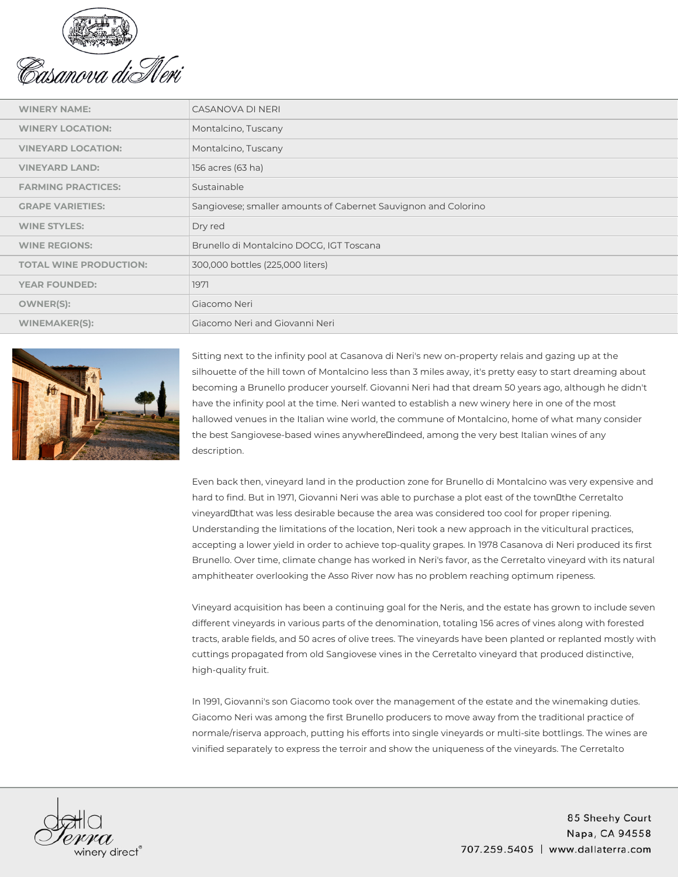

| <b>WINERY NAME:</b>           | CASANOVA DI NERI                                               |
|-------------------------------|----------------------------------------------------------------|
| <b>WINERY LOCATION:</b>       | Montalcino, Tuscany                                            |
| <b>VINEYARD LOCATION:</b>     | Montalcino, Tuscany                                            |
| <b>VINEYARD LAND:</b>         | 156 acres (63 ha)                                              |
| <b>FARMING PRACTICES:</b>     | Sustainable                                                    |
| <b>GRAPE VARIETIES:</b>       | Sangiovese; smaller amounts of Cabernet Sauvignon and Colorino |
| <b>WINE STYLES:</b>           | Dry red                                                        |
| <b>WINE REGIONS:</b>          | Brunello di Montalcino DOCG, IGT Toscana                       |
| <b>TOTAL WINE PRODUCTION:</b> | 300,000 bottles (225,000 liters)                               |
| <b>YEAR FOUNDED:</b>          | 1971                                                           |
| <b>OWNER(S):</b>              | Giacomo Neri                                                   |
| <b>WINEMAKER(S):</b>          | Giacomo Neri and Giovanni Neri                                 |
|                               |                                                                |



Sitting next to the infinity pool at Casanova di Neri's new on-property relais and gazing up at the silhouette of the hill town of Montalcino less than 3 miles away, it's pretty easy to start dreaming about becoming a Brunello producer yourself. Giovanni Neri had that dream 50 years ago, although he didn't have the infinity pool at the time. Neri wanted to establish a new winery here in one of the most hallowed venues in the Italian wine world, the commune of Montalcino, home of what many consider the best Sangiovese-based wines anywhere indeed, among the very best Italian wines of any description.

Even back then, vineyard land in the production zone for Brunello di Montalcino was very expensive and hard to find. But in 1971, Giovanni Neri was able to purchase a plot east of the town the Cerretalto vineyard that was less desirable because the area was considered too cool for proper ripening. Understanding the limitations of the location, Neri took a new approach in the viticultural practices, accepting a lower yield in order to achieve top-quality grapes. In 1978 Casanova di Neri produced its first Brunello. Over time, climate change has worked in Neri's favor, as the Cerretalto vineyard with its natural amphitheater overlooking the Asso River now has no problem reaching optimum ripeness.

Vineyard acquisition has been a continuing goal for the Neris, and the estate has grown to include seven different vineyards in various parts of the denomination, totaling 156 acres of vines along with forested tracts, arable fields, and 50 acres of olive trees. The vineyards have been planted or replanted mostly with cuttings propagated from old Sangiovese vines in the Cerretalto vineyard that produced distinctive, high-quality fruit.

In 1991, Giovanni's son Giacomo took over the management of the estate and the winemaking duties. Giacomo Neri was among the first Brunello producers to move away from the traditional practice of normale/riserva approach, putting his efforts into single vineyards or multi-site bottlings. The wines are vinified separately to express the terroir and show the uniqueness of the vineyards. The Cerretalto



85 Sheehy Court Napa, CA 94558 707.259.5405 | www.dallaterra.com